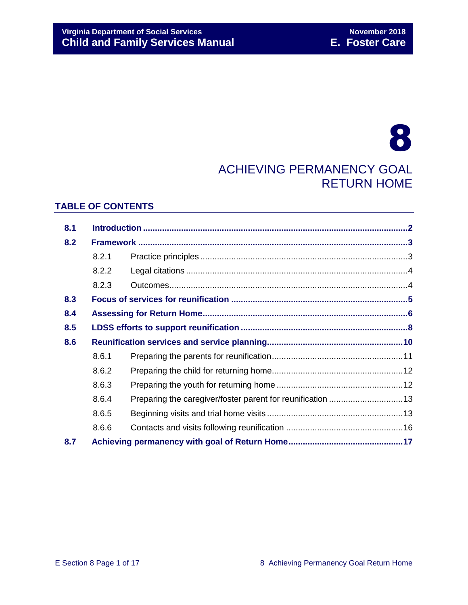# 8 ACHIEVING PERMANENCY GOAL RETURN HOME

## **TABLE OF CONTENTS**

| 8.1 |       |  |  |
|-----|-------|--|--|
| 8.2 |       |  |  |
|     | 8.2.1 |  |  |
|     | 8.2.2 |  |  |
|     | 8.2.3 |  |  |
| 8.3 |       |  |  |
| 8.4 |       |  |  |
| 8.5 |       |  |  |
| 8.6 |       |  |  |
|     | 8.6.1 |  |  |
|     | 8.6.2 |  |  |
|     | 8.6.3 |  |  |
|     | 8.6.4 |  |  |
|     | 8.6.5 |  |  |
|     | 8.6.6 |  |  |
| 8.7 |       |  |  |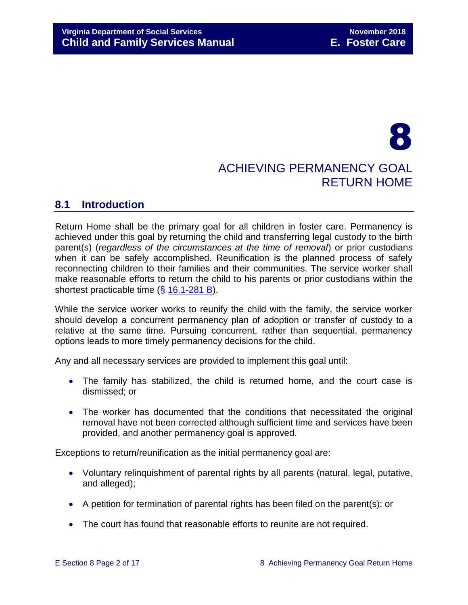# 8 ACHIEVING PERMANENCY GOAL RETURN HOME

# <span id="page-1-0"></span>**8.1 Introduction**

Return Home shall be the primary goal for all children in foster care. Permanency is achieved under this goal by returning the child and transferring legal custody to the birth parent(s) (*regardless of the circumstances at the time of removal*) or prior custodians when it can be safely accomplished. Reunification is the planned process of safely reconnecting children to their families and their communities. The service worker shall make reasonable efforts to return the child to his parents or prior custodians within the shortest practicable time (§ [16.1-281 B\)](http://law.lis.virginia.gov/vacode/16.1-281/).

While the service worker works to reunify the child with the family, the service worker should develop a concurrent permanency plan of adoption or transfer of custody to a relative at the same time. Pursuing concurrent, rather than sequential, permanency options leads to more timely permanency decisions for the child.

Any and all necessary services are provided to implement this goal until:

- The family has stabilized, the child is returned home, and the court case is dismissed; or
- The worker has documented that the conditions that necessitated the original removal have not been corrected although sufficient time and services have been provided, and another permanency goal is approved.

Exceptions to return/reunification as the initial permanency goal are:

- Voluntary relinquishment of parental rights by all parents (natural, legal, putative, and alleged);
- A petition for termination of parental rights has been filed on the parent(s); or
- The court has found that reasonable efforts to reunite are not required.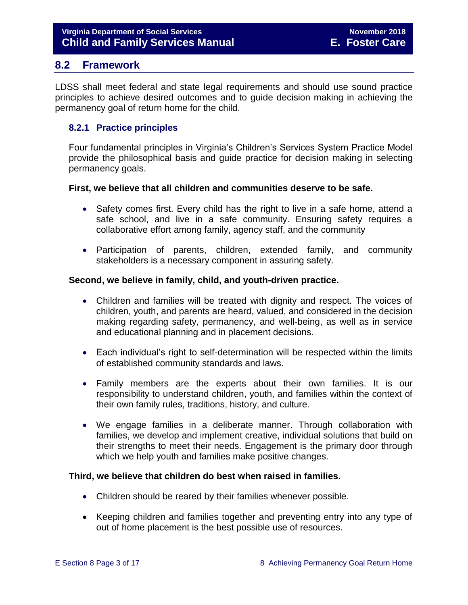## <span id="page-2-0"></span>**8.2 Framework**

LDSS shall meet federal and state legal requirements and should use sound practice principles to achieve desired outcomes and to guide decision making in achieving the permanency goal of return home for the child.

## <span id="page-2-1"></span>**8.2.1 Practice principles**

Four fundamental principles in Virginia's Children's Services System Practice Model provide the philosophical basis and guide practice for decision making in selecting permanency goals.

## **First, we believe that all children and communities deserve to be safe.**

- Safety comes first. Every child has the right to live in a safe home, attend a safe school, and live in a safe community. Ensuring safety requires a collaborative effort among family, agency staff, and the community
- Participation of parents, children, extended family, and community stakeholders is a necessary component in assuring safety.

## **Second, we believe in family, child, and youth-driven practice.**

- Children and families will be treated with dignity and respect. The voices of children, youth, and parents are heard, valued, and considered in the decision making regarding safety, permanency, and well-being, as well as in service and educational planning and in placement decisions.
- Each individual's right to self-determination will be respected within the limits of established community standards and laws.
- Family members are the experts about their own families. It is our responsibility to understand children, youth, and families within the context of their own family rules, traditions, history, and culture.
- We engage families in a deliberate manner. Through collaboration with families, we develop and implement creative, individual solutions that build on their strengths to meet their needs. Engagement is the primary door through which we help youth and families make positive changes.

## **Third, we believe that children do best when raised in families.**

- Children should be reared by their families whenever possible.
- Keeping children and families together and preventing entry into any type of out of home placement is the best possible use of resources.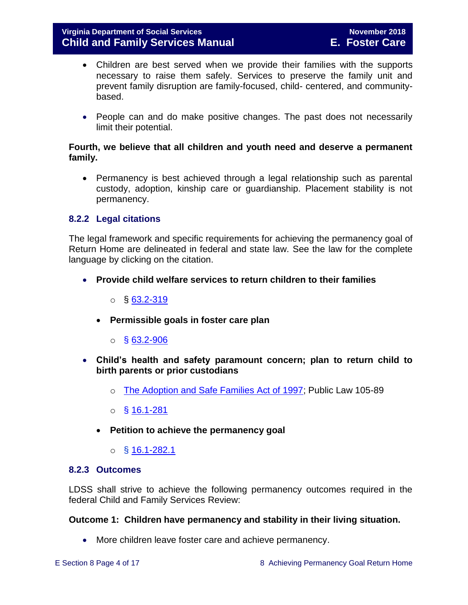- Children are best served when we provide their families with the supports necessary to raise them safely. Services to preserve the family unit and prevent family disruption are family-focused, child- centered, and communitybased.
- People can and do make positive changes. The past does not necessarily limit their potential.

## **Fourth, we believe that all children and youth need and deserve a permanent family.**

 Permanency is best achieved through a legal relationship such as parental custody, adoption, kinship care or guardianship. Placement stability is not permanency.

## <span id="page-3-0"></span>**8.2.2 Legal citations**

The legal framework and specific requirements for achieving the permanency goal of Return Home are delineated in federal and state law. See the law for the complete language by clicking on the citation.

- **Provide child welfare services to return children to their families**
	- $\circ$  § [63.2-319](http://law.lis.virginia.gov/vacode/63.2-319/)
	- **Permissible goals in foster care plan** 
		- $\circ$  § [63.2-906](http://law.lis.virginia.gov/vacode/63.2-906/)
- **Child's health and safety paramount concern; plan to return child to birth parents or prior custodians**
	- o [The Adoption and Safe Families Act of 1997;](http://www.nicwa.org/law/asfa/ASFAII.pdf) Public Law 105-89
	- $\circ$  § [16.1-281](http://law.lis.virginia.gov/vacode/16.1-281/)
	- **Petition to achieve the permanency goal** 
		- $\circ$  § [16.1-282.1](http://law.lis.virginia.gov/vacode/16.1-282.1/)

#### <span id="page-3-1"></span>**8.2.3 Outcomes**

LDSS shall strive to achieve the following permanency outcomes required in the federal Child and Family Services Review:

#### **Outcome 1: Children have permanency and stability in their living situation.**

More children leave foster care and achieve permanency.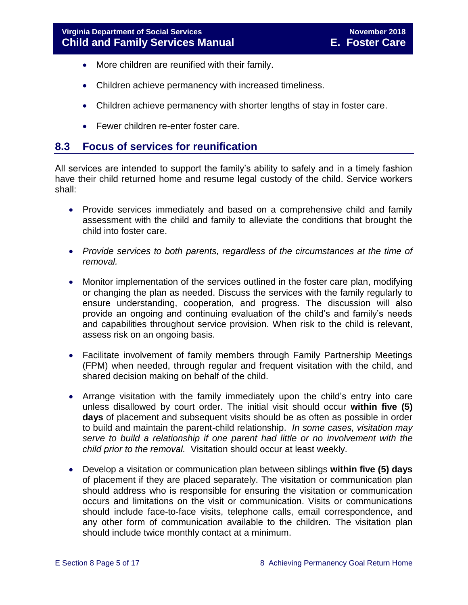- More children are reunified with their family.
- Children achieve permanency with increased timeliness.
- Children achieve permanency with shorter lengths of stay in foster care.
- Fewer children re-enter foster care.

## <span id="page-4-0"></span>**8.3 Focus of services for reunification**

All services are intended to support the family's ability to safely and in a timely fashion have their child returned home and resume legal custody of the child. Service workers shall:

- Provide services immediately and based on a comprehensive child and family assessment with the child and family to alleviate the conditions that brought the child into foster care.
- *Provide services to both parents, regardless of the circumstances at the time of removal.*
- Monitor implementation of the services outlined in the foster care plan, modifying or changing the plan as needed. Discuss the services with the family regularly to ensure understanding, cooperation, and progress. The discussion will also provide an ongoing and continuing evaluation of the child's and family's needs and capabilities throughout service provision. When risk to the child is relevant, assess risk on an ongoing basis.
- Facilitate involvement of family members through Family Partnership Meetings (FPM) when needed, through regular and frequent visitation with the child, and shared decision making on behalf of the child.
- Arrange visitation with the family immediately upon the child's entry into care unless disallowed by court order. The initial visit should occur **within five (5) days** of placement and subsequent visits should be as often as possible in order to build and maintain the parent-child relationship. *In some cases, visitation may serve to build a relationship if one parent had little or no involvement with the child prior to the removal.* Visitation should occur at least weekly.
- Develop a visitation or communication plan between siblings **within five (5) days** of placement if they are placed separately. The visitation or communication plan should address who is responsible for ensuring the visitation or communication occurs and limitations on the visit or communication. Visits or communications should include face-to-face visits, telephone calls, email correspondence, and any other form of communication available to the children. The visitation plan should include twice monthly contact at a minimum.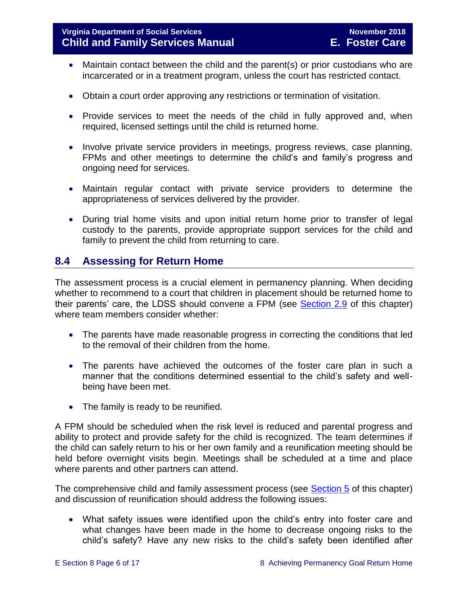- Maintain contact between the child and the parent(s) or prior custodians who are incarcerated or in a treatment program, unless the court has restricted contact.
- Obtain a court order approving any restrictions or termination of visitation.
- Provide services to meet the needs of the child in fully approved and, when required, licensed settings until the child is returned home.
- Involve private service providers in meetings, progress reviews, case planning, FPMs and other meetings to determine the child's and family's progress and ongoing need for services.
- Maintain regular contact with private service providers to determine the appropriateness of services delivered by the provider.
- During trial home visits and upon initial return home prior to transfer of legal custody to the parents, provide appropriate support services for the child and family to prevent the child from returning to care.

# <span id="page-5-0"></span>**8.4 Assessing for Return Home**

The assessment process is a crucial element in permanency planning. When deciding whether to recommend to a court that children in placement should be returned home to their parents' care, the LDSS should convene a FPM (see [Section 2.9](file://///Vaultcelerra.co.dss.state.va.us/Workgroup/Family_Services/DFS%20Child%20and%20Family%20Services%20Manual/E.%20Foster%20Care/Foster%20Care%20June%202017/section_2_engaging_the_child_family_and_significant_adults.draft.docx) of this chapter) where team members consider whether:

- The parents have made reasonable progress in correcting the conditions that led to the removal of their children from the home.
- The parents have achieved the outcomes of the foster care plan in such a manner that the conditions determined essential to the child's safety and wellbeing have been met.
- The family is ready to be reunified.

A FPM should be scheduled when the risk level is reduced and parental progress and ability to protect and provide safety for the child is recognized. The team determines if the child can safely return to his or her own family and a reunification meeting should be held before overnight visits begin. Meetings shall be scheduled at a time and place where parents and other partners can attend.

The comprehensive child and family assessment process (see [Section 5](file://///Vaultcelerra.co.dss.state.va.us/Workgroup/Family_Services/DFS%20Child%20and%20Family%20Services%20Manual/E.%20Foster%20Care/Foster%20Care%20June%202017/section_5_conducting_child_and_family_assessment.docx) of this chapter) and discussion of reunification should address the following issues:

 What safety issues were identified upon the child's entry into foster care and what changes have been made in the home to decrease ongoing risks to the child's safety? Have any new risks to the child's safety been identified after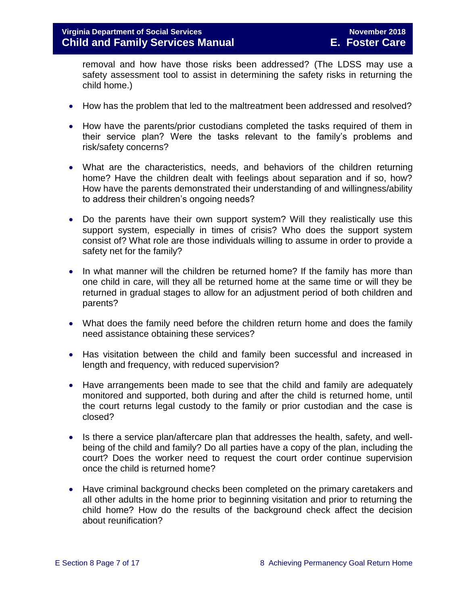removal and how have those risks been addressed? (The LDSS may use a safety assessment tool to assist in determining the safety risks in returning the child home.)

- How has the problem that led to the maltreatment been addressed and resolved?
- How have the parents/prior custodians completed the tasks required of them in their service plan? Were the tasks relevant to the family's problems and risk/safety concerns?
- What are the characteristics, needs, and behaviors of the children returning home? Have the children dealt with feelings about separation and if so, how? How have the parents demonstrated their understanding of and willingness/ability to address their children's ongoing needs?
- Do the parents have their own support system? Will they realistically use this support system, especially in times of crisis? Who does the support system consist of? What role are those individuals willing to assume in order to provide a safety net for the family?
- In what manner will the children be returned home? If the family has more than one child in care, will they all be returned home at the same time or will they be returned in gradual stages to allow for an adjustment period of both children and parents?
- What does the family need before the children return home and does the family need assistance obtaining these services?
- Has visitation between the child and family been successful and increased in length and frequency, with reduced supervision?
- Have arrangements been made to see that the child and family are adequately monitored and supported, both during and after the child is returned home, until the court returns legal custody to the family or prior custodian and the case is closed?
- Is there a service plan/aftercare plan that addresses the health, safety, and wellbeing of the child and family? Do all parties have a copy of the plan, including the court? Does the worker need to request the court order continue supervision once the child is returned home?
- Have criminal background checks been completed on the primary caretakers and all other adults in the home prior to beginning visitation and prior to returning the child home? How do the results of the background check affect the decision about reunification?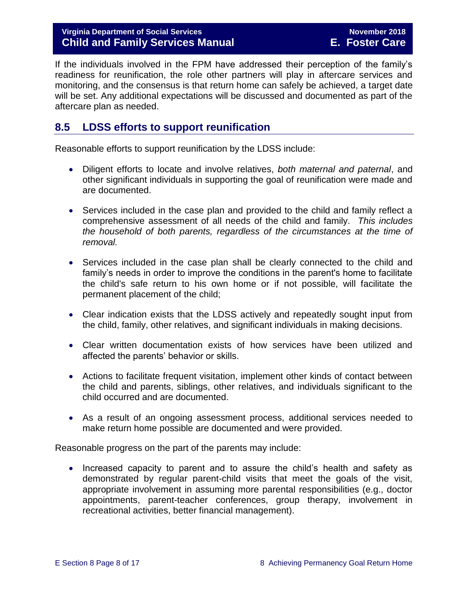## **Virginia Department of Social Services November 2018 Child and Family Services Manual E. Foster Care**

If the individuals involved in the FPM have addressed their perception of the family's readiness for reunification, the role other partners will play in aftercare services and monitoring, and the consensus is that return home can safely be achieved, a target date will be set. Any additional expectations will be discussed and documented as part of the aftercare plan as needed.

# <span id="page-7-0"></span>**8.5 LDSS efforts to support reunification**

Reasonable efforts to support reunification by the LDSS include:

- Diligent efforts to locate and involve relatives, *both maternal and paternal*, and other significant individuals in supporting the goal of reunification were made and are documented.
- Services included in the case plan and provided to the child and family reflect a comprehensive assessment of all needs of the child and family. *This includes the household of both parents, regardless of the circumstances at the time of removal.*
- Services included in the case plan shall be clearly connected to the child and family's needs in order to improve the conditions in the parent's home to facilitate the child's safe return to his own home or if not possible, will facilitate the permanent placement of the child;
- Clear indication exists that the LDSS actively and repeatedly sought input from the child, family, other relatives, and significant individuals in making decisions.
- Clear written documentation exists of how services have been utilized and affected the parents' behavior or skills.
- Actions to facilitate frequent visitation, implement other kinds of contact between the child and parents, siblings, other relatives, and individuals significant to the child occurred and are documented.
- As a result of an ongoing assessment process, additional services needed to make return home possible are documented and were provided.

Reasonable progress on the part of the parents may include:

• Increased capacity to parent and to assure the child's health and safety as demonstrated by regular parent-child visits that meet the goals of the visit, appropriate involvement in assuming more parental responsibilities (e.g., doctor appointments, parent-teacher conferences, group therapy, involvement in recreational activities, better financial management).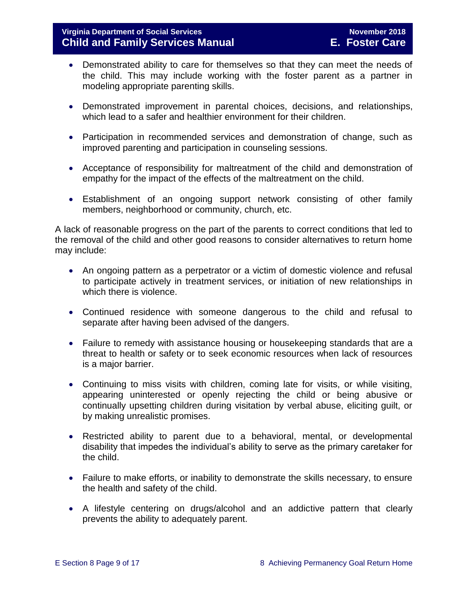- Demonstrated ability to care for themselves so that they can meet the needs of the child. This may include working with the foster parent as a partner in modeling appropriate parenting skills.
- Demonstrated improvement in parental choices, decisions, and relationships, which lead to a safer and healthier environment for their children.
- Participation in recommended services and demonstration of change, such as improved parenting and participation in counseling sessions.
- Acceptance of responsibility for maltreatment of the child and demonstration of empathy for the impact of the effects of the maltreatment on the child.
- Establishment of an ongoing support network consisting of other family members, neighborhood or community, church, etc.

A lack of reasonable progress on the part of the parents to correct conditions that led to the removal of the child and other good reasons to consider alternatives to return home may include:

- An ongoing pattern as a perpetrator or a victim of domestic violence and refusal to participate actively in treatment services, or initiation of new relationships in which there is violence.
- Continued residence with someone dangerous to the child and refusal to separate after having been advised of the dangers.
- Failure to remedy with assistance housing or housekeeping standards that are a threat to health or safety or to seek economic resources when lack of resources is a major barrier.
- Continuing to miss visits with children, coming late for visits, or while visiting, appearing uninterested or openly rejecting the child or being abusive or continually upsetting children during visitation by verbal abuse, eliciting guilt, or by making unrealistic promises.
- Restricted ability to parent due to a behavioral, mental, or developmental disability that impedes the individual's ability to serve as the primary caretaker for the child.
- Failure to make efforts, or inability to demonstrate the skills necessary, to ensure the health and safety of the child.
- A lifestyle centering on drugs/alcohol and an addictive pattern that clearly prevents the ability to adequately parent.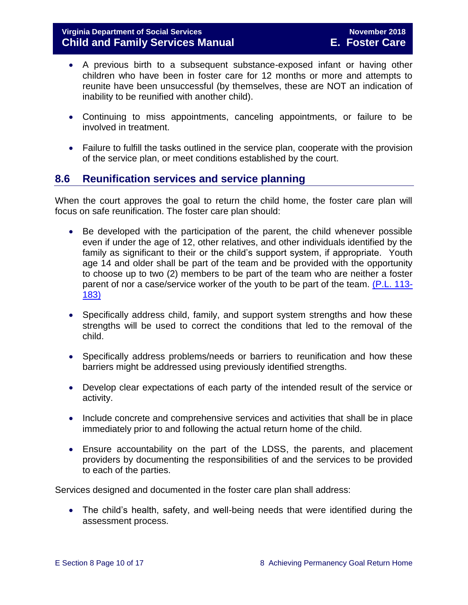- A previous birth to a subsequent substance-exposed infant or having other children who have been in foster care for 12 months or more and attempts to reunite have been unsuccessful (by themselves, these are NOT an indication of inability to be reunified with another child).
- Continuing to miss appointments, canceling appointments, or failure to be involved in treatment.
- Failure to fulfill the tasks outlined in the service plan, cooperate with the provision of the service plan, or meet conditions established by the court.

## <span id="page-9-0"></span>**8.6 Reunification services and service planning**

When the court approves the goal to return the child home, the foster care plan will focus on safe reunification. The foster care plan should:

- Be developed with the participation of the parent, the child whenever possible even if under the age of 12, other relatives, and other individuals identified by the family as significant to their or the child's support system, if appropriate. Youth age 14 and older shall be part of the team and be provided with the opportunity to choose up to two (2) members to be part of the team who are neither a foster parent of nor a case/service worker of the youth to be part of the team. [\(P.L. 113-](https://www.congress.gov/113/plaws/publ183/PLAW-113publ183.pdf) [183\)](https://www.congress.gov/113/plaws/publ183/PLAW-113publ183.pdf)
- Specifically address child, family, and support system strengths and how these strengths will be used to correct the conditions that led to the removal of the child.
- Specifically address problems/needs or barriers to reunification and how these barriers might be addressed using previously identified strengths.
- Develop clear expectations of each party of the intended result of the service or activity.
- Include concrete and comprehensive services and activities that shall be in place immediately prior to and following the actual return home of the child.
- Ensure accountability on the part of the LDSS, the parents, and placement providers by documenting the responsibilities of and the services to be provided to each of the parties.

Services designed and documented in the foster care plan shall address:

 The child's health, safety, and well-being needs that were identified during the assessment process.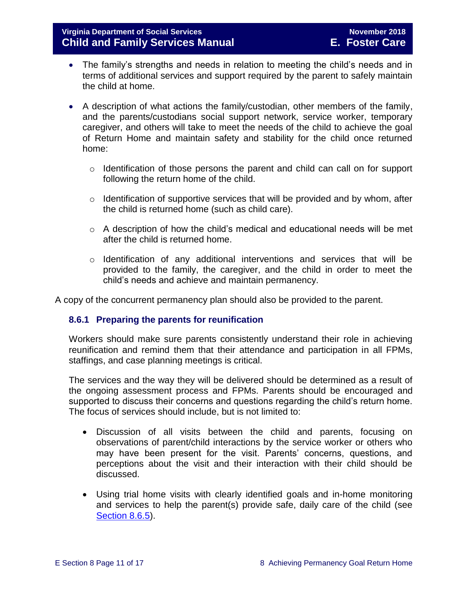- The family's strengths and needs in relation to meeting the child's needs and in terms of additional services and support required by the parent to safely maintain the child at home.
- A description of what actions the family/custodian, other members of the family, and the parents/custodians social support network, service worker, temporary caregiver, and others will take to meet the needs of the child to achieve the goal of Return Home and maintain safety and stability for the child once returned home:
	- o Identification of those persons the parent and child can call on for support following the return home of the child.
	- o Identification of supportive services that will be provided and by whom, after the child is returned home (such as child care).
	- o A description of how the child's medical and educational needs will be met after the child is returned home.
	- $\circ$  Identification of any additional interventions and services that will be provided to the family, the caregiver, and the child in order to meet the child's needs and achieve and maintain permanency.

A copy of the concurrent permanency plan should also be provided to the parent.

## <span id="page-10-0"></span>**8.6.1 Preparing the parents for reunification**

Workers should make sure parents consistently understand their role in achieving reunification and remind them that their attendance and participation in all FPMs, staffings, and case planning meetings is critical.

The services and the way they will be delivered should be determined as a result of the ongoing assessment process and FPMs. Parents should be encouraged and supported to discuss their concerns and questions regarding the child's return home. The focus of services should include, but is not limited to:

- Discussion of all visits between the child and parents, focusing on observations of parent/child interactions by the service worker or others who may have been present for the visit. Parents' concerns, questions, and perceptions about the visit and their interaction with their child should be discussed.
- Using trial home visits with clearly identified goals and in-home monitoring and services to help the parent(s) provide safe, daily care of the child (see [Section](file://///Vaultcelerra.co.dss.state.va.us/Workgroup/Family_Services/DFS%20Child%20and%20Family%20Services%20Manual/E.%20Foster%20Care/Foster%20Care%20June%202017/section_8_achieving_permanency_goal_return_home.docx) 8.6.5).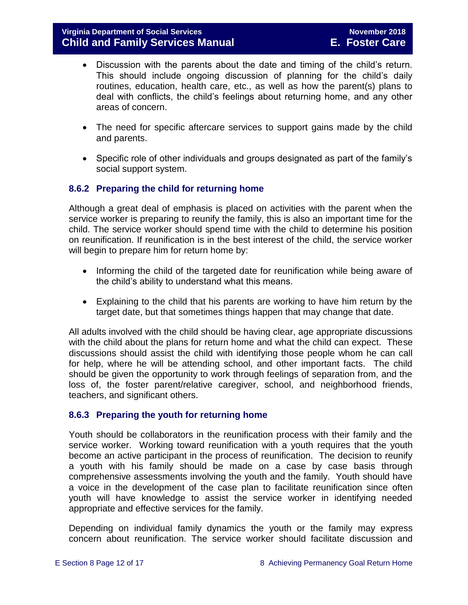- Discussion with the parents about the date and timing of the child's return. This should include ongoing discussion of planning for the child's daily routines, education, health care, etc., as well as how the parent(s) plans to deal with conflicts, the child's feelings about returning home, and any other areas of concern.
- The need for specific aftercare services to support gains made by the child and parents.
- Specific role of other individuals and groups designated as part of the family's social support system.

## <span id="page-11-0"></span>**8.6.2 Preparing the child for returning home**

Although a great deal of emphasis is placed on activities with the parent when the service worker is preparing to reunify the family, this is also an important time for the child. The service worker should spend time with the child to determine his position on reunification. If reunification is in the best interest of the child, the service worker will begin to prepare him for return home by:

- Informing the child of the targeted date for reunification while being aware of the child's ability to understand what this means.
- Explaining to the child that his parents are working to have him return by the target date, but that sometimes things happen that may change that date.

All adults involved with the child should be having clear, age appropriate discussions with the child about the plans for return home and what the child can expect. These discussions should assist the child with identifying those people whom he can call for help, where he will be attending school, and other important facts. The child should be given the opportunity to work through feelings of separation from, and the loss of, the foster parent/relative caregiver, school, and neighborhood friends, teachers, and significant others.

## <span id="page-11-1"></span>**8.6.3 Preparing the youth for returning home**

Youth should be collaborators in the reunification process with their family and the service worker. Working toward reunification with a youth requires that the youth become an active participant in the process of reunification. The decision to reunify a youth with his family should be made on a case by case basis through comprehensive assessments involving the youth and the family. Youth should have a voice in the development of the case plan to facilitate reunification since often youth will have knowledge to assist the service worker in identifying needed appropriate and effective services for the family.

Depending on individual family dynamics the youth or the family may express concern about reunification. The service worker should facilitate discussion and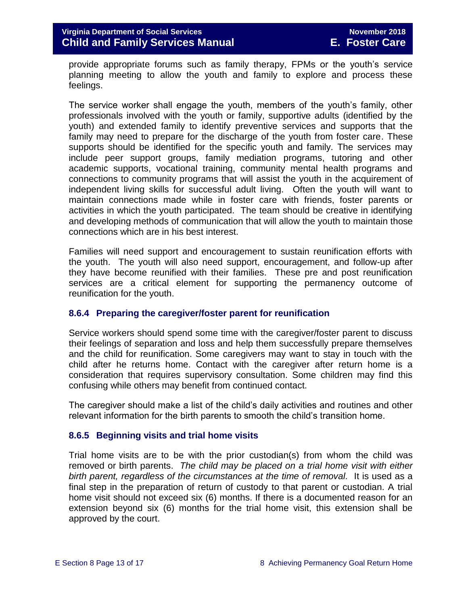provide appropriate forums such as family therapy, FPMs or the youth's service planning meeting to allow the youth and family to explore and process these feelings.

The service worker shall engage the youth, members of the youth's family, other professionals involved with the youth or family, supportive adults (identified by the youth) and extended family to identify preventive services and supports that the family may need to prepare for the discharge of the youth from foster care. These supports should be identified for the specific youth and family. The services may include peer support groups, family mediation programs, tutoring and other academic supports, vocational training, community mental health programs and connections to community programs that will assist the youth in the acquirement of independent living skills for successful adult living. Often the youth will want to maintain connections made while in foster care with friends, foster parents or activities in which the youth participated. The team should be creative in identifying and developing methods of communication that will allow the youth to maintain those connections which are in his best interest.

Families will need support and encouragement to sustain reunification efforts with the youth. The youth will also need support, encouragement, and follow-up after they have become reunified with their families. These pre and post reunification services are a critical element for supporting the permanency outcome of reunification for the youth.

#### <span id="page-12-0"></span>**8.6.4 Preparing the caregiver/foster parent for reunification**

Service workers should spend some time with the caregiver/foster parent to discuss their feelings of separation and loss and help them successfully prepare themselves and the child for reunification. Some caregivers may want to stay in touch with the child after he returns home. Contact with the caregiver after return home is a consideration that requires supervisory consultation. Some children may find this confusing while others may benefit from continued contact.

The caregiver should make a list of the child's daily activities and routines and other relevant information for the birth parents to smooth the child's transition home.

## <span id="page-12-1"></span>**8.6.5 Beginning visits and trial home visits**

Trial home visits are to be with the prior custodian(s) from whom the child was removed or birth parents. *The child may be placed on a trial home visit with either birth parent, regardless of the circumstances at the time of removal.* It is used as a final step in the preparation of return of custody to that parent or custodian. A trial home visit should not exceed six (6) months. If there is a documented reason for an extension beyond six (6) months for the trial home visit, this extension shall be approved by the court.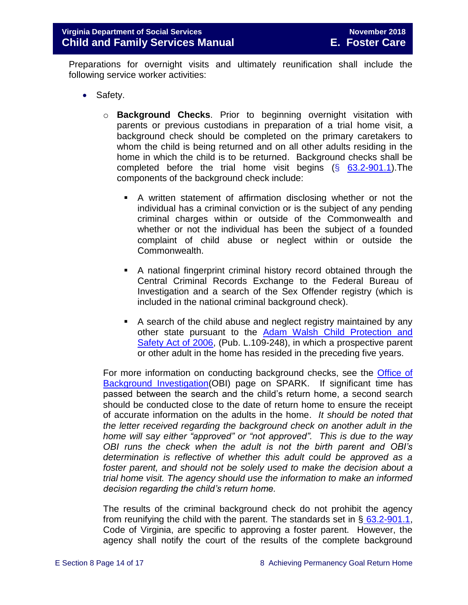Preparations for overnight visits and ultimately reunification shall include the following service worker activities:

- Safety.
	- o **Background Checks**. Prior to beginning overnight visitation with parents or previous custodians in preparation of a trial home visit, a background check should be completed on the primary caretakers to whom the child is being returned and on all other adults residing in the home in which the child is to be returned. Background checks shall be completed before the trial home visit begins  $(\S$  [63.2-901.1\)](http://law.lis.virginia.gov/vacode/63.2-901.1/). The components of the background check include:
		- A written statement of affirmation disclosing whether or not the individual has a criminal conviction or is the subject of any pending criminal charges within or outside of the Commonwealth and whether or not the individual has been the subject of a founded complaint of child abuse or neglect within or outside the Commonwealth.
		- A national fingerprint criminal history record obtained through the Central Criminal Records Exchange to the Federal Bureau of Investigation and a search of the Sex Offender registry (which is included in the national criminal background check).
		- A search of the child abuse and neglect registry maintained by any other state pursuant to the [Adam Walsh Child Protection and](http://www.gpo.gov/fdsys/pkg/PLAW-109publ248/html/PLAW-109publ248.htm)  [Safety Act of 2006,](http://www.gpo.gov/fdsys/pkg/PLAW-109publ248/html/PLAW-109publ248.htm) (Pub. L.109-248), in which a prospective parent or other adult in the home has resided in the preceding five years.

For more information on conducting background checks, see the [Office of](http://spark.dss.virginia.gov/divisions/dolp)  [Background Investigation\(](http://spark.dss.virginia.gov/divisions/dolp)OBI) page on SPARK. If significant time has passed between the search and the child's return home, a second search should be conducted close to the date of return home to ensure the receipt of accurate information on the adults in the home. *It should be noted that the letter received regarding the background check on another adult in the home will say either "approved" or "not approved". This is due to the way OBI runs the check when the adult is not the birth parent and OBI's determination is reflective of whether this adult could be approved as a foster parent, and should not be solely used to make the decision about a trial home visit. The agency should use the information to make an informed decision regarding the child's return home.* 

The results of the criminal background check do not prohibit the agency from reunifying the child with the parent. The standards set in  $\S$  [63.2-901.1,](http://law.lis.virginia.gov/vacode/63.2-901.1/) Code of Virginia, are specific to approving a foster parent. However, the agency shall notify the court of the results of the complete background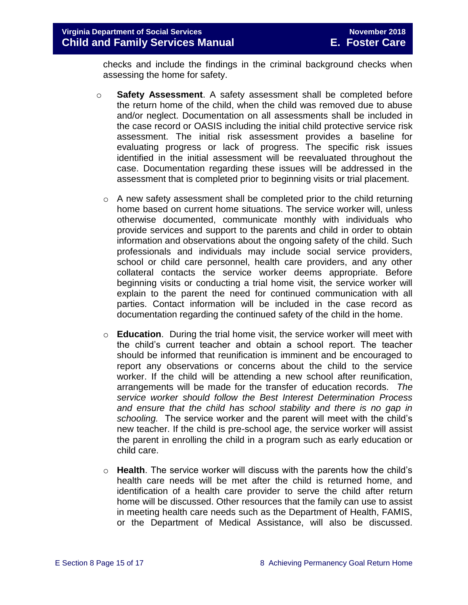checks and include the findings in the criminal background checks when assessing the home for safety.

- o **Safety Assessment**. A safety assessment shall be completed before the return home of the child, when the child was removed due to abuse and/or neglect. Documentation on all assessments shall be included in the case record or OASIS including the initial child protective service risk assessment. The initial risk assessment provides a baseline for evaluating progress or lack of progress. The specific risk issues identified in the initial assessment will be reevaluated throughout the case. Documentation regarding these issues will be addressed in the assessment that is completed prior to beginning visits or trial placement.
	- o A new safety assessment shall be completed prior to the child returning home based on current home situations. The service worker will, unless otherwise documented, communicate monthly with individuals who provide services and support to the parents and child in order to obtain information and observations about the ongoing safety of the child. Such professionals and individuals may include social service providers, school or child care personnel, health care providers, and any other collateral contacts the service worker deems appropriate. Before beginning visits or conducting a trial home visit, the service worker will explain to the parent the need for continued communication with all parties. Contact information will be included in the case record as documentation regarding the continued safety of the child in the home.
	- o **Education**. During the trial home visit, the service worker will meet with the child's current teacher and obtain a school report. The teacher should be informed that reunification is imminent and be encouraged to report any observations or concerns about the child to the service worker. If the child will be attending a new school after reunification, arrangements will be made for the transfer of education records. *The service worker should follow the Best Interest Determination Process and ensure that the child has school stability and there is no gap in schooling.* The service worker and the parent will meet with the child's new teacher. If the child is pre-school age, the service worker will assist the parent in enrolling the child in a program such as early education or child care.
	- o **Health**. The service worker will discuss with the parents how the child's health care needs will be met after the child is returned home, and identification of a health care provider to serve the child after return home will be discussed. Other resources that the family can use to assist in meeting health care needs such as the Department of Health, FAMIS, or the Department of Medical Assistance, will also be discussed.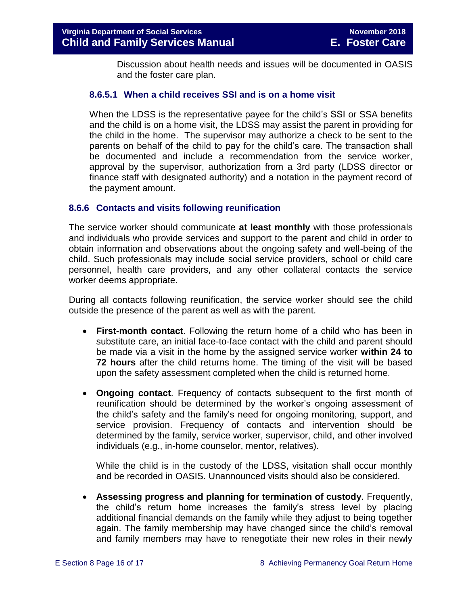Discussion about health needs and issues will be documented in OASIS and the foster care plan.

## **8.6.5.1 When a child receives SSI and is on a home visit**

When the LDSS is the representative payee for the child's SSI or SSA benefits and the child is on a home visit, the LDSS may assist the parent in providing for the child in the home. The supervisor may authorize a check to be sent to the parents on behalf of the child to pay for the child's care. The transaction shall be documented and include a recommendation from the service worker, approval by the supervisor, authorization from a 3rd party (LDSS director or finance staff with designated authority) and a notation in the payment record of the payment amount.

## <span id="page-15-0"></span>**8.6.6 Contacts and visits following reunification**

The service worker should communicate **at least monthly** with those professionals and individuals who provide services and support to the parent and child in order to obtain information and observations about the ongoing safety and well-being of the child. Such professionals may include social service providers, school or child care personnel, health care providers, and any other collateral contacts the service worker deems appropriate.

During all contacts following reunification, the service worker should see the child outside the presence of the parent as well as with the parent.

- **First-month contact**. Following the return home of a child who has been in substitute care, an initial face-to-face contact with the child and parent should be made via a visit in the home by the assigned service worker **within 24 to 72 hours** after the child returns home. The timing of the visit will be based upon the safety assessment completed when the child is returned home.
- **Ongoing contact**. Frequency of contacts subsequent to the first month of reunification should be determined by the worker's ongoing assessment of the child's safety and the family's need for ongoing monitoring, support, and service provision. Frequency of contacts and intervention should be determined by the family, service worker, supervisor, child, and other involved individuals (e.g., in-home counselor, mentor, relatives).

While the child is in the custody of the LDSS, visitation shall occur monthly and be recorded in OASIS. Unannounced visits should also be considered.

 **Assessing progress and planning for termination of custody**. Frequently, the child's return home increases the family's stress level by placing additional financial demands on the family while they adjust to being together again. The family membership may have changed since the child's removal and family members may have to renegotiate their new roles in their newly